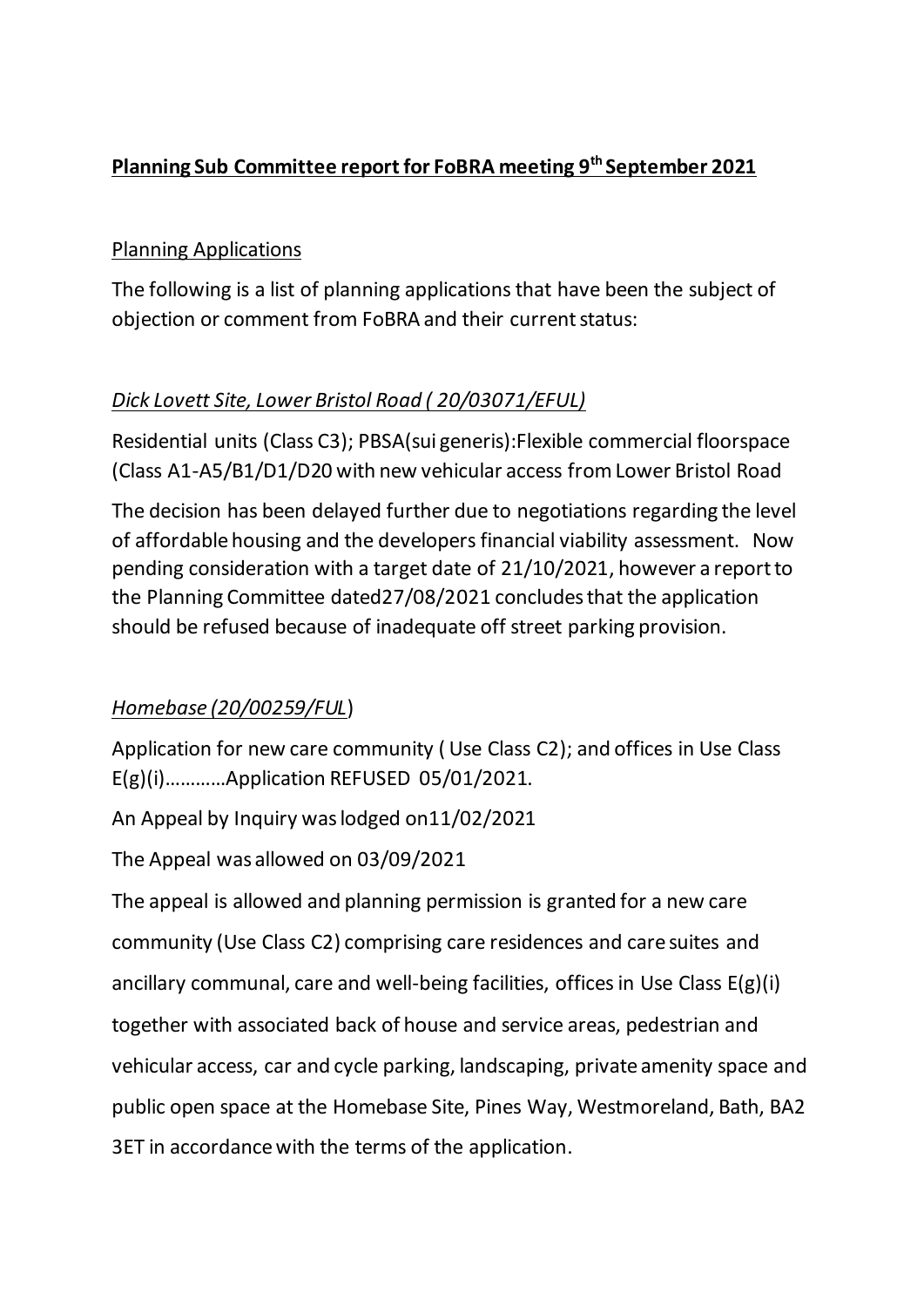# **Planning Sub Committee report for FoBRA meeting 9 th September 2021**

## Planning Applications

The following is a list of planning applications that have been the subject of objection or comment from FoBRA and their current status:

# *Dick Lovett Site, Lower Bristol Road ( 20/03071/EFUL)*

Residential units (Class C3); PBSA(sui generis):Flexible commercial floorspace (Class A1-A5/B1/D1/D20 with new vehicular access from Lower Bristol Road

The decision has been delayed further due to negotiations regarding the level of affordable housing and the developers financial viability assessment. Now pending consideration with a target date of 21/10/2021, however a report to the Planning Committee dated27/08/2021 concludes that the application should be refused because of inadequate off street parking provision.

#### *Homebase (20/00259/FUL*)

Application for new care community ( Use Class C2); and offices in Use Class E(g)(i)…………Application REFUSED 05/01/2021.

An Appeal by Inquiry waslodged on11/02/2021

The Appeal was allowed on 03/09/2021

The appeal is allowed and planning permission is granted for a new care community (Use Class C2) comprising care residences and care suites and ancillary communal, care and well-being facilities, offices in Use Class E(g)(i) together with associated back of house and service areas, pedestrian and vehicular access, car and cycle parking, landscaping, private amenity space and public open space at the Homebase Site, Pines Way, Westmoreland, Bath, BA2 3ET in accordance with the terms of the application.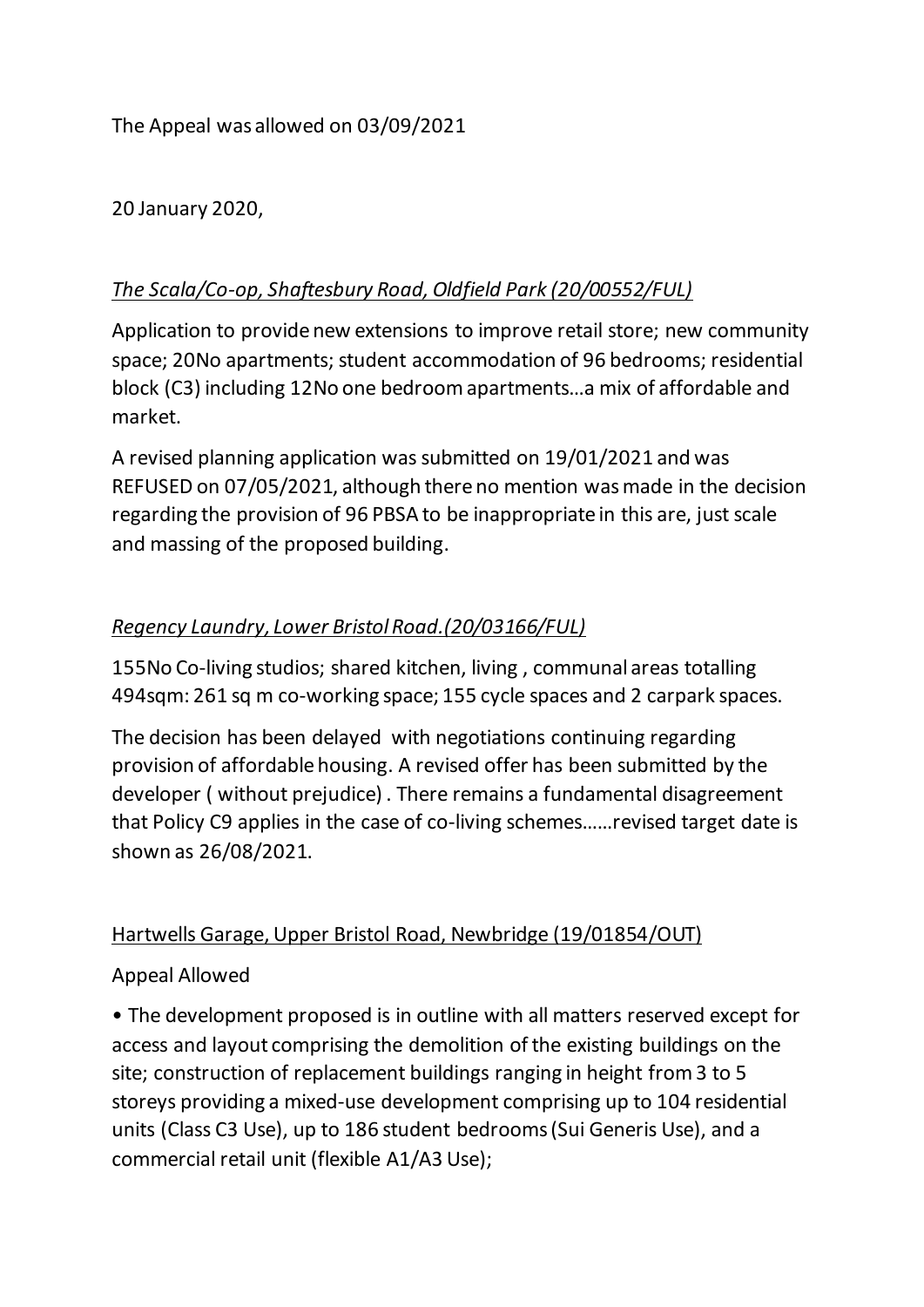The Appeal was allowed on 03/09/2021

20 January 2020,

## *The Scala/Co-op, Shaftesbury Road, Oldfield Park (20/00552/FUL)*

Application to provide new extensions to improve retail store; new community space; 20No apartments; student accommodation of 96 bedrooms; residential block (C3) including 12No one bedroom apartments…a mix of affordable and market.

A revised planning application was submitted on 19/01/2021 and was REFUSED on 07/05/2021, although there no mention was made in the decision regarding the provision of 96 PBSA to be inappropriate in this are, just scale and massing of the proposed building.

## *Regency Laundry, Lower Bristol Road.(20/03166/FUL)*

155No Co-living studios; shared kitchen, living , communal areas totalling 494sqm: 261 sq m co-working space; 155 cycle spaces and 2 carpark spaces.

The decision has been delayed with negotiations continuing regarding provision of affordable housing. A revised offer has been submitted by the developer ( without prejudice) . There remains a fundamental disagreement that Policy C9 applies in the case of co-living schemes……revised target date is shown as 26/08/2021.

#### Hartwells Garage, Upper Bristol Road, Newbridge (19/01854/OUT)

#### Appeal Allowed

• The development proposed is in outline with all matters reserved except for access and layout comprising the demolition of the existing buildings on the site; construction of replacement buildings ranging in height from 3 to 5 storeys providing a mixed-use development comprising up to 104 residential units (Class C3 Use), up to 186 student bedrooms (Sui Generis Use), and a commercial retail unit (flexible A1/A3 Use);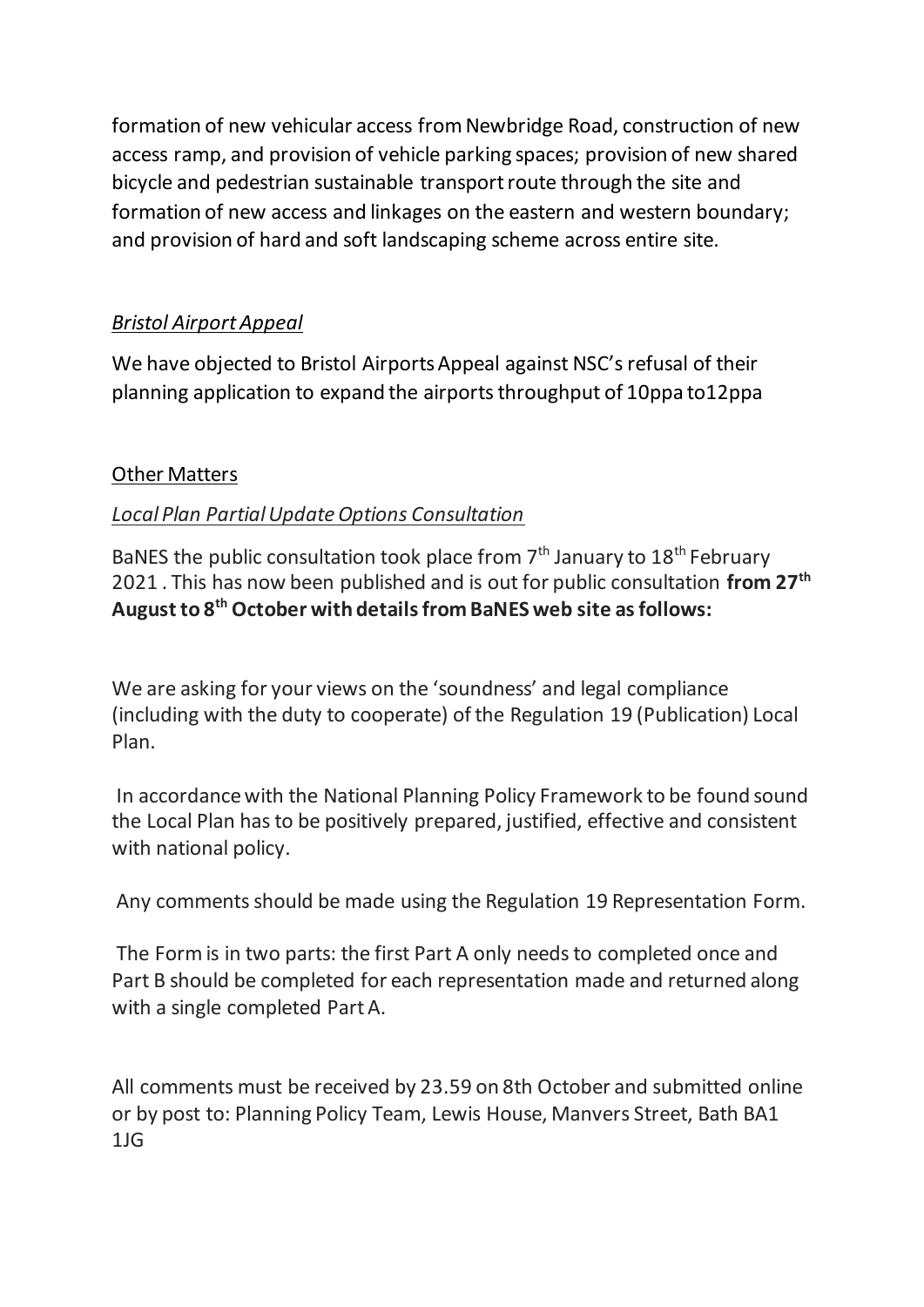formation of new vehicular access from Newbridge Road, construction of new access ramp, and provision of vehicle parking spaces; provision of new shared bicycle and pedestrian sustainable transport route through the site and formation of new access and linkages on the eastern and western boundary; and provision of hard and soft landscaping scheme across entire site.

## *Bristol Airport Appeal*

We have objected to Bristol Airports Appeal against NSC's refusal of their planning application to expand the airports throughput of 10ppa to12ppa

#### Other Matters

#### *Local Plan Partial Update Options Consultation*

BaNES the public consultation took place from  $7<sup>th</sup>$  January to 18<sup>th</sup> February 2021 . This has now been published and is out for public consultation **from 27th August to 8th October with details from BaNES web site as follows:**

We are asking for your views on the 'soundness' and legal compliance (including with the duty to cooperate) of the Regulation 19 (Publication) Local Plan.

In accordance with the National Planning Policy Framework to be found sound the Local Plan has to be positively prepared, justified, effective and consistent with national policy.

Any comments should be made using the Regulation 19 Representation Form.

The Form is in two parts: the first Part A only needs to completed once and Part B should be completed for each representation made and returned along with a single completed Part A.

All comments must be received by 23.59 on 8th October and submitted online or by post to: Planning Policy Team, Lewis House, Manvers Street, Bath BA1 1JG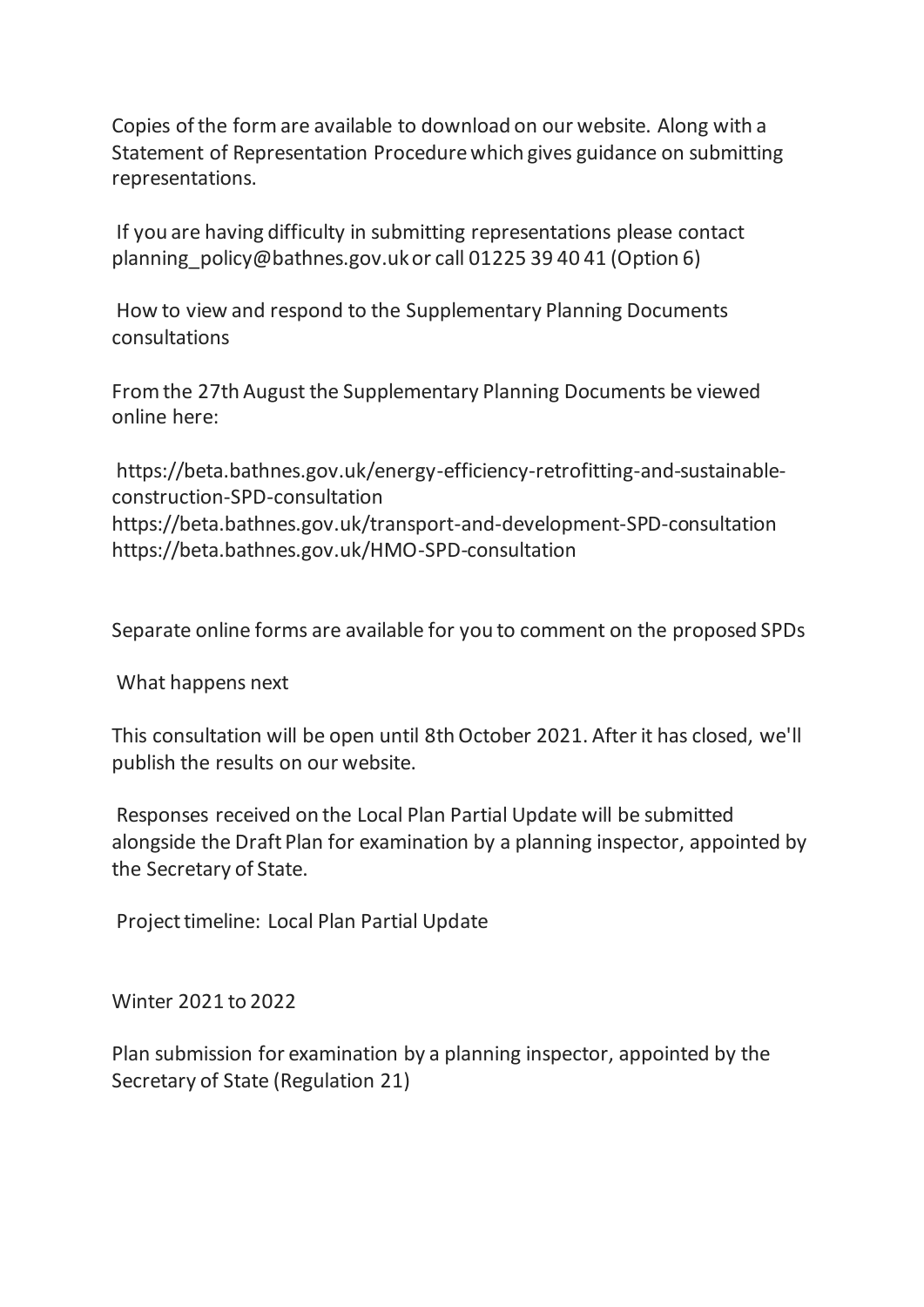Copies of the form are available to download on our website. Along with a Statement of Representation Procedure which gives guidance on submitting representations.

If you are having difficulty in submitting representations please contact planning policy@bathnes.gov.uk or call 01225 39 40 41 (Option 6)

How to view and respond to the Supplementary Planning Documents consultations

From the 27th August the Supplementary Planning Documents be viewed online here:

https://beta.bathnes.gov.uk/energy-efficiency-retrofitting-and-sustainableconstruction-SPD-consultation https://beta.bathnes.gov.uk/transport-and-development-SPD-consultation https://beta.bathnes.gov.uk/HMO-SPD-consultation

Separate online forms are available for you to comment on the proposed SPDs

What happens next

This consultation will be open until 8th October 2021. After it has closed, we'll publish the results on our website.

Responses received on the Local Plan Partial Update will be submitted alongside the Draft Plan for examination by a planning inspector, appointed by the Secretary of State.

Project timeline: Local Plan Partial Update

Winter 2021 to 2022

Plan submission for examination by a planning inspector, appointed by the Secretary of State (Regulation 21)